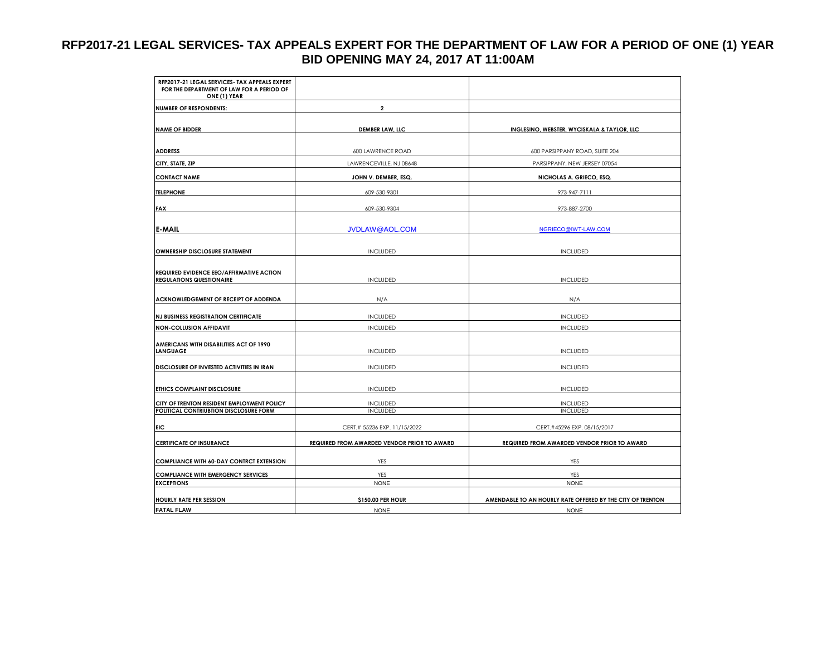## **RFP2017-21 LEGAL SERVICES- TAX APPEALS EXPERT FOR THE DEPARTMENT OF LAW FOR A PERIOD OF ONE (1) YEAR BID OPENING MAY 24, 2017 AT 11:00AM**

| RFP2017-21 LEGAL SERVICES- TAX APPEALS EXPERT<br>FOR THE DEPARTMENT OF LAW FOR A PERIOD OF<br>ONE (1) YEAR |                                             |                                                            |
|------------------------------------------------------------------------------------------------------------|---------------------------------------------|------------------------------------------------------------|
| <b>NUMBER OF RESPONDENTS:</b>                                                                              | $\overline{\mathbf{2}}$                     |                                                            |
|                                                                                                            |                                             |                                                            |
| <b>NAME OF BIDDER</b>                                                                                      | <b>DEMBER LAW, LLC</b>                      | INGLESINO, WEBSTER, WYCISKALA & TAYLOR, LLC                |
|                                                                                                            |                                             |                                                            |
| <b>ADDRESS</b>                                                                                             | 600 LAWRENCE ROAD                           | 600 PARSIPPANY ROAD, SUITE 204                             |
| CITY, STATE, ZIP                                                                                           | LAWRENCEVILLE, NJ 08648                     | PARSIPPANY, NEW JERSEY 07054                               |
| <b>CONTACT NAME</b>                                                                                        | JOHN V. DEMBER, ESQ.                        | NICHOLAS A. GRIECO, ESQ.                                   |
| <b>TELEPHONE</b>                                                                                           | 609-530-9301                                | 973-947-7111                                               |
| <b>FAX</b>                                                                                                 | 609-530-9304                                | 973-887-2700                                               |
|                                                                                                            |                                             |                                                            |
| <b>E-MAIL</b>                                                                                              | <b>JVDLAW@AOL.COM</b>                       | NGRIECO@IWT-LAW.COM                                        |
|                                                                                                            |                                             |                                                            |
| OWNERSHIP DISCLOSURE STATEMENT                                                                             | <b>INCLUDED</b>                             | <b>INCLUDED</b>                                            |
|                                                                                                            |                                             |                                                            |
| REQUIRED EVIDENCE EEO/AFFIRMATIVE ACTION                                                                   |                                             |                                                            |
| <b>REGULATIONS QUESTIONAIRE</b>                                                                            | <b>INCLUDED</b>                             | <b>INCLUDED</b>                                            |
| ACKNOWLEDGEMENT OF RECEIPT OF ADDENDA                                                                      | N/A                                         | N/A                                                        |
|                                                                                                            |                                             |                                                            |
| <b>NJ BUSINESS REGISTRATION CERTIFICATE</b>                                                                | <b>INCLUDED</b>                             | <b>INCLUDED</b>                                            |
| <b>NON-COLLUSION AFFIDAVIT</b>                                                                             | <b>INCLUDED</b>                             | <b>INCLUDED</b>                                            |
| AMERICANS WITH DISABILITIES ACT OF 1990                                                                    |                                             |                                                            |
| <b>LANGUAGE</b>                                                                                            | <b>INCLUDED</b>                             | <b>INCLUDED</b>                                            |
| DISCLOSURE OF INVESTED ACTIVITIES IN IRAN                                                                  | <b>INCLUDED</b>                             | <b>INCLUDED</b>                                            |
|                                                                                                            |                                             |                                                            |
| ETHICS COMPLAINT DISCLOSURE                                                                                | <b>INCLUDED</b>                             | <b>INCLUDED</b>                                            |
|                                                                                                            |                                             |                                                            |
| CITY OF TRENTON RESIDENT EMPLOYMENT POLICY<br>POLITICAL CONTRIUBTION DISCLOSURE FORM                       | <b>INCLUDED</b><br><b>INCLUDED</b>          | <b>INCLUDED</b><br><b>INCLUDED</b>                         |
|                                                                                                            |                                             |                                                            |
| EIC                                                                                                        | CERT.# 55236 EXP. 11/15/2022                | CERT.#45296 EXP. 08/15/2017                                |
| <b>CERTIFICATE OF INSURANCE</b>                                                                            | REQUIRED FROM AWARDED VENDOR PRIOR TO AWARD | REQUIRED FROM AWARDED VENDOR PRIOR TO AWARD                |
|                                                                                                            |                                             |                                                            |
| <b>COMPLIANCE WITH 60-DAY CONTRCT EXTENSION</b>                                                            | YES                                         | YES                                                        |
| <b>COMPLIANCE WITH EMERGENCY SERVICES</b>                                                                  | YES                                         | YES                                                        |
| <b>EXCEPTIONS</b>                                                                                          | <b>NONE</b>                                 | <b>NONE</b>                                                |
| <b>HOURLY RATE PER SESSION</b>                                                                             | \$150.00 PER HOUR                           | AMENDABLE TO AN HOURLY RATE OFFERED BY THE CITY OF TRENTON |
| <b>FATAL FLAW</b>                                                                                          | <b>NONE</b>                                 | <b>NONE</b>                                                |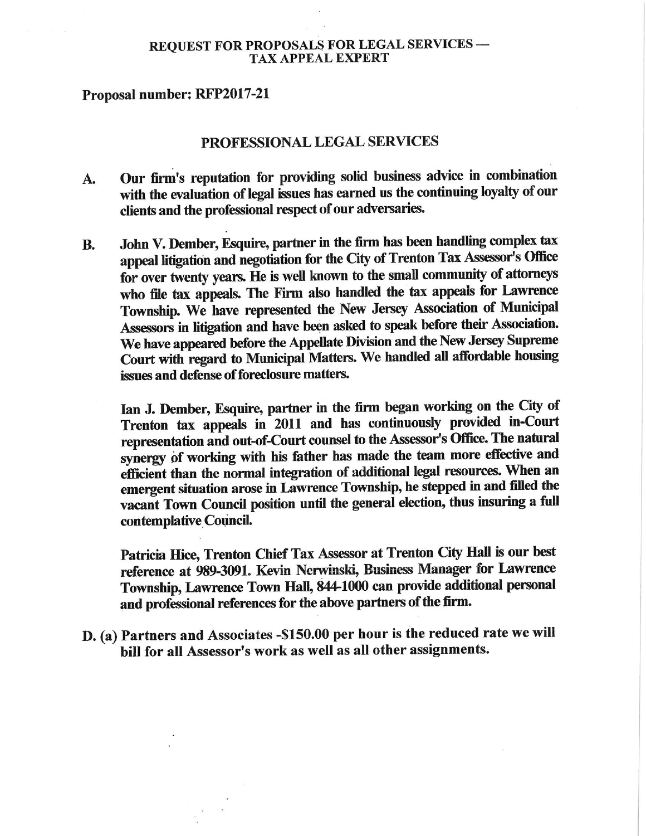## **REQUEST FOR PROPOSALS FOR LEGAL SERVICES --TAX APPEAL EXPERT**

## Proposal number: RFP2017-21

## PROFESSIONAL LEGAL SERVICES

- Our firm's reputation for providing solid business advice in combination  $A_{\bullet}$ with the evaluation of legal issues has earned us the continuing loyalty of our clients and the professional respect of our adversaries.
- John V. Dember, Esquire, partner in the firm has been handling complex tax **B.** appeal litigation and negotiation for the City of Trenton Tax Assessor's Office for over twenty years. He is well known to the small community of attorneys who file tax appeals. The Firm also handled the tax appeals for Lawrence Township. We have represented the New Jersey Association of Municipal Assessors in litigation and have been asked to speak before their Association. We have appeared before the Appellate Division and the New Jersey Supreme Court with regard to Municipal Matters. We handled all affordable housing issues and defense of foreclosure matters.

Ian J. Dember, Esquire, partner in the firm began working on the City of Trenton tax appeals in 2011 and has continuously provided in-Court representation and out-of-Court counsel to the Assessor's Office. The natural synergy of working with his father has made the team more effective and efficient than the normal integration of additional legal resources. When an emergent situation arose in Lawrence Township, he stepped in and filled the vacant Town Council position until the general election, thus insuring a full contemplative Council.

Patricia Hice, Trenton Chief Tax Assessor at Trenton City Hall is our best reference at 989-3091. Kevin Nerwinski, Business Manager for Lawrence Township, Lawrence Town Hall, 844-1000 can provide additional personal and professional references for the above partners of the firm.

D. (a) Partners and Associates - \$150.00 per hour is the reduced rate we will bill for all Assessor's work as well as all other assignments.